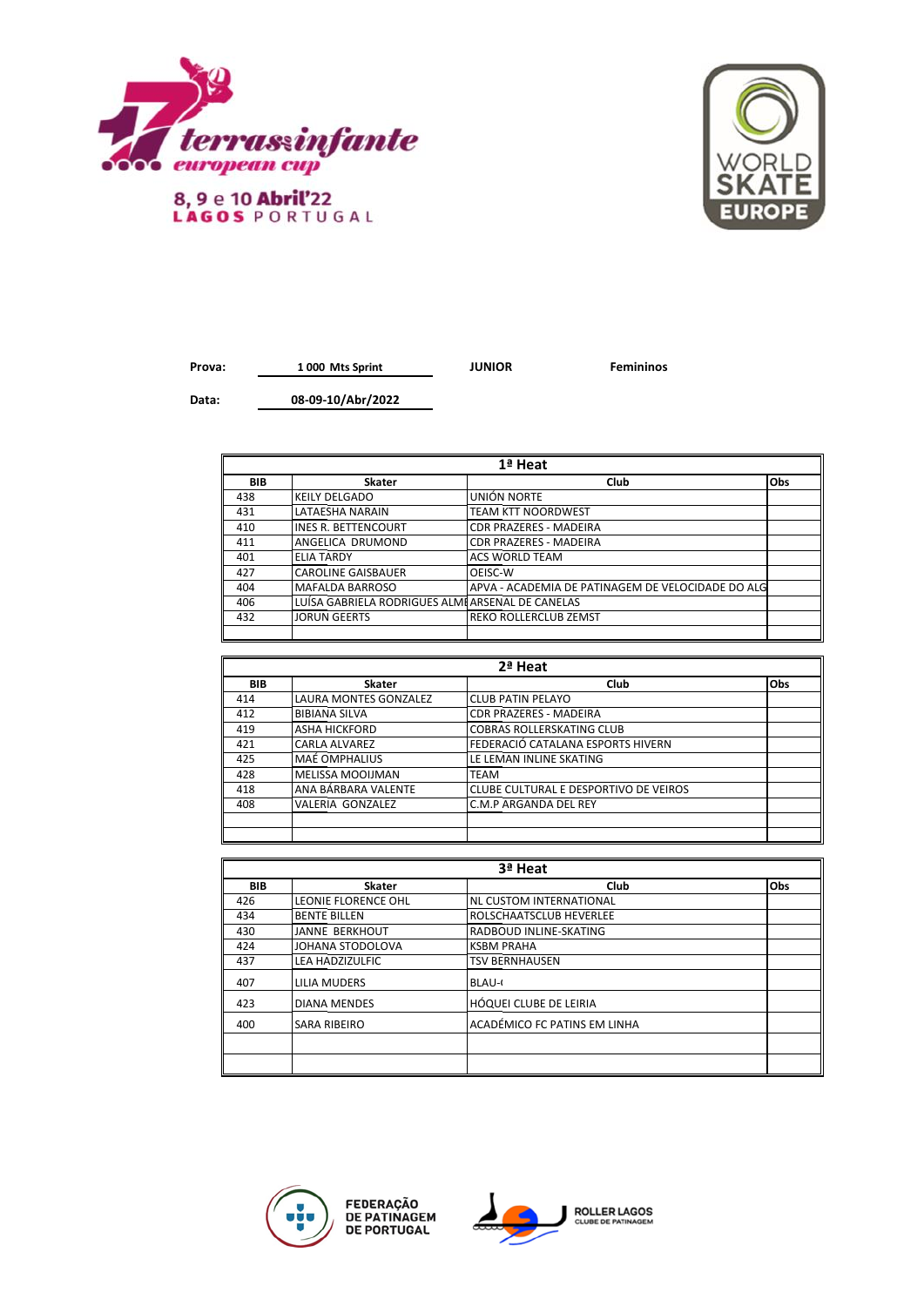

8, 9 e 10 Abril'22<br>LAGOS PORTUGAL



**Prova: JUNIOR Femininos 1 000 Mts Sprint**

**Data:**

 $\blacksquare$ 

**08-09-10/Abr/2022**

| 1ª Heat    |                                                 |                                                   |     |
|------------|-------------------------------------------------|---------------------------------------------------|-----|
| <b>BIB</b> | <b>Skater</b>                                   | Club                                              | Obs |
| 438        | <b>KEILY DELGADO</b>                            | UNIÓN NORTE                                       |     |
| 431        | <b>LATAESHA NARAIN</b>                          | <b>TEAM KTT NOORDWEST</b>                         |     |
| 410        | <b>IINES R. BETTENCOURT</b>                     | <b>CDR PRAZERES - MADEIRA</b>                     |     |
| 411        | ANGELICA DRUMOND                                | <b>CDR PRAZERES - MADEIRA</b>                     |     |
| 401        | <b>ELIA TARDY</b>                               | <b>ACS WORLD TEAM</b>                             |     |
| 427        | <b>CAROLINE GAISBAUER</b>                       | OEISC-W                                           |     |
| 404        | MAFALDA BARROSO                                 | APVA - ACADEMIA DE PATINAGEM DE VELOCIDADE DO ALG |     |
| 406        | LUÍSA GABRIELA RODRIGUES ALMEARSENAL DE CANELAS |                                                   |     |
| 432        | <b>JORUN GEERTS</b>                             | <b>REKO ROLLERCLUB ZEMST</b>                      |     |
|            |                                                 |                                                   |     |

| 2ª Heat    |                              |                                       |            |
|------------|------------------------------|---------------------------------------|------------|
| <b>BIB</b> | Skater                       | Club                                  | <b>Obs</b> |
| 414        | <b>LAURA MONTES GONZALEZ</b> | <b>CLUB PATIN PELAYO</b>              |            |
| 412        | <b>BIBIANA SILVA</b>         | <b>CDR PRAZERES - MADEIRA</b>         |            |
| 419        | <b>ASHA HICKFORD</b>         | <b>COBRAS ROLLERSKATING CLUB</b>      |            |
| 421        | <b>CARLA ALVAREZ</b>         | FEDERACIÓ CATALANA ESPORTS HIVERN     |            |
| 425        | <b>MAÉ OMPHALIUS</b>         | LE LEMAN INLINE SKATING               |            |
| 428        | MELISSA MOOIJMAN             | <b>TEAM</b>                           |            |
| 418        | ANA BÁRBARA VALENTE          | CLUBE CULTURAL E DESPORTIVO DE VEIROS |            |
| 408        | VALERIA GONZALEZ             | C.M.P ARGANDA DEL REY                 |            |
|            |                              |                                       |            |
|            |                              |                                       |            |

| 3ª Heat    |                       |                              |     |
|------------|-----------------------|------------------------------|-----|
| <b>BIB</b> | <b>Skater</b>         | Club                         | Obs |
| 426        | LEONIE FLORENCE OHL   | NL CUSTOM INTERNATIONAL      |     |
| 434        | <b>BENTE BILLEN</b>   | ROLSCHAATSCLUB HEVERLEE      |     |
| 430        | <b>JANNE BERKHOUT</b> | RADBOUD INLINE-SKATING       |     |
| 424        | JOHANA STODOLOVA      | <b>KSBM PRAHA</b>            |     |
| 437        | LEA HADZIZULFIC       | <b>TSV BERNHAUSEN</b>        |     |
| 407        | LILIA MUDERS          | <b>BLAU-0</b>                |     |
| 423        | <b>DIANA MENDES</b>   | HÓQUEI CLUBE DE LEIRIA       |     |
| 400        | <b>SARA RIBEIRO</b>   | ACADÉMICO FC PATINS EM LINHA |     |
|            |                       |                              |     |
|            |                       |                              |     |